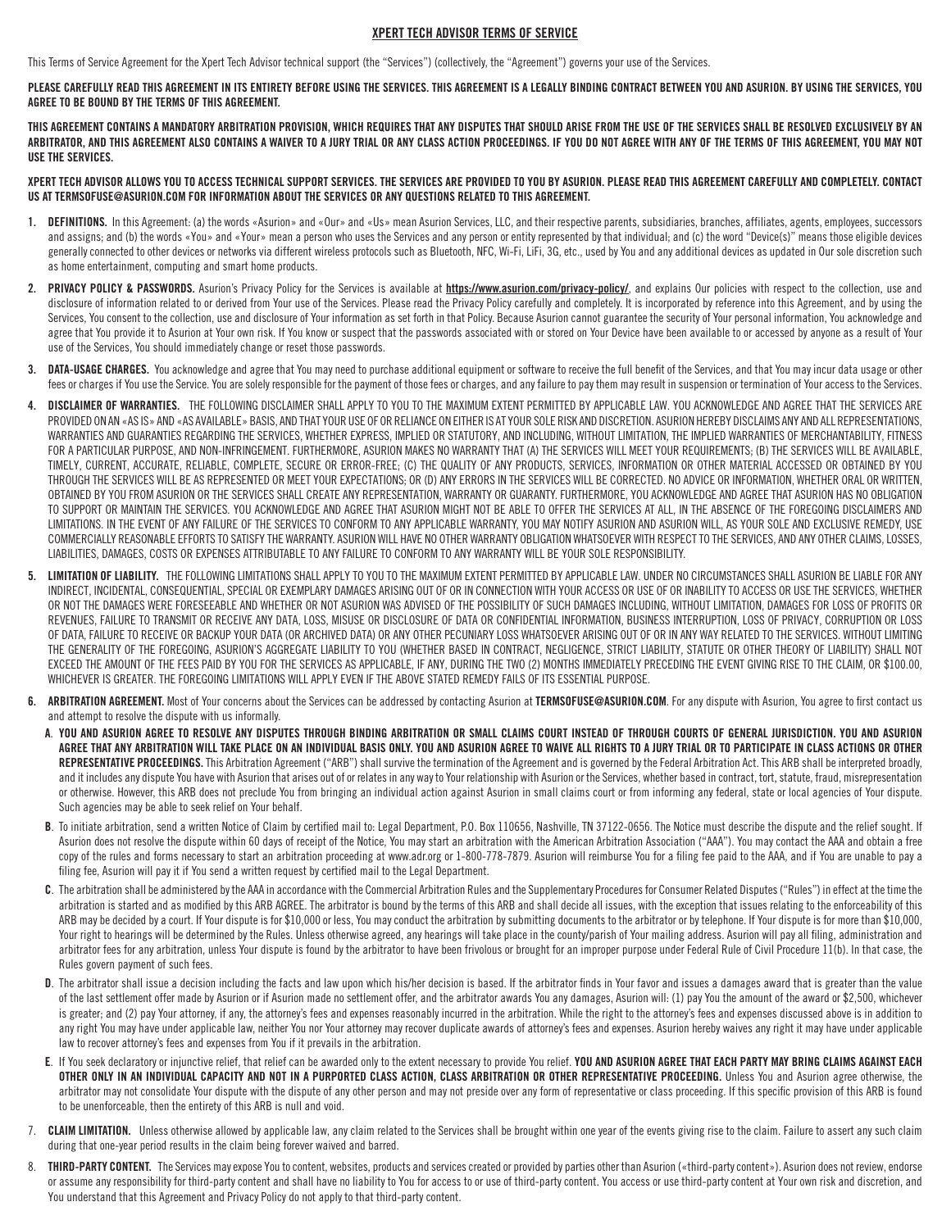## XPERT TECH ADVISOR TERMS OF SERVICE

This Terms of Service Agreement for the Xpert Tech Advisor technical support (the "Services") (collectively, the "Agreement") governs your use of the Services.

PLEASE CAREFULLY READ THIS AGREEMENT IN ITS ENTIRETY BEFORE USING THE SERVICES. THIS AGREEMENT IS A LEGALLY BINDING CONTRACT BETWEEN YOU AND ASURION. BY USING THE SERVICES, YOU AGREE TO BE BOUND BY THE TERMS OF THIS AGREEMENT.

THIS AGREEMENT CONTAINS A MANDATORY ARBITRATION PROVISION, WHICH REQUIRES THAT ANY DISPUTES THAT SHOULD ARISE FROM THE USE OF THE SERVICES SHALL BE RESOLVED EXCLUSIVELY BY AN ARBITRATOR, AND THIS AGREEMENT ALSO CONTAINS A WAIVER TO A JURY TRIAL OR ANY CLASS ACTION PROCEEDINGS. IF YOU DO NOT AGREE WITH ANY OF THE TERMS OF THIS AGREEMENT, YOU MAY NOT USE THE SERVICES.

XPERT TECH ADVISOR ALLOWS YOU TO ACCESS TECHNICAL SUPPORT SERVICES. THE SERVICES ARE PROVIDED TO YOU BY ASURION. PLEASE READ THIS AGREEMENT CAREFULLY AND COMPLETELY. CONTACT US AT TERMSOFUSE@ASURION.COM FOR INFORMATION ABOUT THE SERVICES OR ANY QUESTIONS RELATED TO THIS AGREEMENT.

- 1. DEFINITIONS. In this Agreement: (a) the words «Asurion» and «Our» and «Us» mean Asurion Services, LLC, and their respective parents, subsidiaries, branches, affiliates, agents, employees, successors and assigns; and (b) the words «You» and «Your» mean a person who uses the Services and any person or entity represented by that individual; and (c) the word "Device(s)" means those eligible devices generally connected to other devices or networks via different wireless protocols such as Bluetooth, NFC, Wi-Fi, LiFi, 3G, etc., used by You and any additional devices as updated in Our sole discretion such as home entertainment, computing and smart home products.
- 2. PRIVACY POLICY & PASSWORDS. Asurion's Privacy Policy for the Services is available at <https://www.asurion.com/privacy-policy/>, and explains Our policies with respect to the collection, use and disclosure of information related to or derived from Your use of the Services. Please read the Privacy Policy carefully and completely. It is incorporated by reference into this Agreement, and by using the Services, You consent to the collection, use and disclosure of Your information as set forth in that Policy. Because Asurion cannot guarantee the security of Your personal information, You acknowledge and agree that You provide it to Asurion at Your own risk. If You know or suspect that the passwords associated with or stored on Your Device have been available to or accessed by anyone as a result of Your use of the Services, You should immediately change or reset those passwords.
- 3. DATA-USAGE CHARGES. You acknowledge and agree that You may need to purchase additional equipment or software to receive the full benefit of the Services, and that You may incur data usage or other fees or charges if You use the Service. You are solely responsible for the payment of those fees or charges, and any failure to pay them may result in suspension or termination of Your access to the Services.
- DISCLAIMER OF WARRANTIES. THE FOLLOWING DISCLAIMER SHALL APPLY TO YOU TO THE MAXIMUM EXTENT PERMITTED BY APPLICABLE LAW. YOU ACKNOWLEDGE AND AGREE THAT THE SERVICES ARE PROVIDED ON AN «AS IS» AND «AS AVAILABLE» BASIS, AND THAT YOUR USE OF OR RELIANCE ON EITHER IS AT YOUR SOLE RISK AND DISCRETION. ASURION HEREBY DISCLAIMS ANY AND ALL REPRESENTATIONS, WARRANTIES AND GUARANTIES REGARDING THE SERVICES, WHETHER EXPRESS, IMPLIED OR STATUTORY, AND INCLUDING, WITHOUT LIMITATION, THE IMPLIED WARRANTIES OF MERCHANTABILITY, FITNESS FOR A PARTICULAR PURPOSE, AND NON-INFRINGEMENT. FURTHERMORE, ASURION MAKES NO WARRANTY THAT (A) THE SERVICES WILL MEET YOUR REQUIREMENTS; (B) THE SERVICES WILL BE AVAILABLE, TIMELY, CURRENT, ACCURATE, RELIABLE, COMPLETE, SECURE OR ERROR-FREE; (C) THE QUALITY OF ANY PRODUCTS, SERVICES, INFORMATION OR OTHER MATERIAL ACCESSED OR OBTAINED BY YOU THROUGH THE SERVICES WILL BE AS REPRESENTED OR MEET YOUR EXPECTATIONS; OR (D) ANY ERRORS IN THE SERVICES WILL BE CORRECTED. NO ADVICE OR INFORMATION, WHETHER ORAL OR WRITTEN, OBTAINED BY YOU FROM ASURION OR THE SERVICES SHALL CREATE ANY REPRESENTATION, WARRANTY OR GUARANTY. FURTHERMORE, YOU ACKNOWLEDGE AND AGREE THAT ASURION HAS NO OBLIGATION TO SUPPORT OR MAINTAIN THE SERVICES. YOU ACKNOWLEDGE AND AGREE THAT ASURION MIGHT NOT BE ABLE TO OFFER THE SERVICES AT ALL, IN THE ABSENCE OF THE FOREGOING DISCLAIMERS AND LIMITATIONS. IN THE EVENT OF ANY FAILURE OF THE SERVICES TO CONFORM TO ANY APPLICABLE WARRANTY, YOU MAY NOTIFY ASURION AND ASURION WILL, AS YOUR SOLE AND EXCLUSIVE REMEDY, USE COMMERCIALLY REASONABLE EFFORTS TO SATISFY THE WARRANTY. ASURION WILL HAVE NO OTHER WARRANTY OBLIGATION WHATSOEVER WITH RESPECT TO THE SERVICES, AND ANY OTHER CLAIMS, LOSSES, LIABILITIES, DAMAGES, COSTS OR EXPENSES ATTRIBUTABLE TO ANY FAILURE TO CONFORM TO ANY WARRANTY WILL BE YOUR SOLE RESPONSIBILITY.
- 5. LIMITATION OF LIABILITY. THE FOLLOWING LIMITATIONS SHALL APPLY TO YOU TO THE MAXIMUM EXTENT PERMITTED BY APPLICABLE LAW. UNDER NO CIRCUMSTANCES SHALL ASURION BE LIABLE FOR ANY INDIRECT, INCIDENTAL, CONSEQUENTIAL, SPECIAL OR EXEMPLARY DAMAGES ARISING OUT OF OR IN CONNECTION WITH YOUR ACCESS OR USE OF OR INABILITY TO ACCESS OR USE THE SERVICES, WHETHER OR NOT THE DAMAGES WERE FORESEEABLE AND WHETHER OR NOT ASURION WAS ADVISED OF THE POSSIBILITY OF SUCH DAMAGES INCLUDING, WITHOUT LIMITATION, DAMAGES FOR LOSS OF PROFITS OR REVENUES, FAILURE TO TRANSMIT OR RECEIVE ANY DATA, LOSS, MISUSE OR DISCLOSURE OF DATA OR CONFIDENTIAL INFORMATION, BUSINESS INTERRUPTION, LOSS OF PRIVACY, CORRUPTION OR LOSS OF DATA, FAILURE TO RECEIVE OR BACKUP YOUR DATA (OR ARCHIVED DATA) OR ANY OTHER PECUNIARY LOSS WHATSOEVER ARISING OUT OF OR IN ANY WAY RELATED TO THE SERVICES. WITHOUT LIMITING THE GENERALITY OF THE FOREGOING, ASURION'S AGGREGATE LIABILITY TO YOU (WHETHER BASED IN CONTRACT, NEGLIGENCE, STRICT LIABILITY, STATUTE OR OTHER THEORY OF LIABILITY) SHALL NOT EXCEED THE AMOUNT OF THE FEES PAID BY YOU FOR THE SERVICES AS APPLICABLE, IF ANY, DURING THE TWO (2) MONTHS IMMEDIATELY PRECEDING THE EVENT GIVING RISE TO THE CLAIM, OR \$100.00, WHICHEVER IS GREATER. THE FOREGOING LIMITATIONS WILL APPLY EVEN IF THE ABOVE STATED REMEDY FAILS OF ITS ESSENTIAL PURPOSE.
- 6. ARBITRATION AGREEMENT. Most of Your concerns about the Services can be addressed by contacting Asurion at TERMSOFUSE@ASURION.COM. For any dispute with Asurion, You agree to first contact us and attempt to resolve the dispute with us informally.
	- A. YOU AND ASURION AGREE TO RESOLVE ANY DISPUTES THROUGH BINDING ARBITRATION OR SMALL CLAIMS COURT INSTEAD OF THROUGH COURTS OF GENERAL JURISDICTION. YOU AND ASURION AGREE THAT ANY ARBITRATION WILL TAKE PLACE ON AN INDIVIDUAL BASIS ONLY. YOU AND ASURION AGREE TO WAIVE ALL RIGHTS TO A JURY TRIAL OR TO PARTICIPATE IN CLASS ACTIONS OR OTHER REPRESENTATIVE PROCEEDINGS. This Arbitration Agreement ("ARB") shall survive the termination of the Agreement and is governed by the Federal Arbitration Act. This ARB shall be interpreted broadly, and it includes any dispute You have with Asurion that arises out of or relates in any way to Your relationship with Asurion or the Services, whether based in contract, tort, statute, fraud, misrepresentation or otherwise. However, this ARB does not preclude You from bringing an individual action against Asurion in small claims court or from informing any federal, state or local agencies of Your dispute. Such agencies may be able to seek relief on Your behalf.
	- B. To initiate arbitration, send a written Notice of Claim by certified mail to: Legal Department, P.O. Box 110656, Nashville, TN 37122-0656. The Notice must describe the dispute and the relief sought. If Asurion does not resolve the dispute within 60 days of receipt of the Notice, You may start an arbitration with the American Arbitration Association ("AAA"). You may contact the AAA and obtain a free copy of the rules and forms necessary to start an arbitration proceeding at www.adr.org or 1-800-778-7879. Asurion will reimburse You for a filing fee paid to the AAA, and if You are unable to pay a filing fee, Asurion will pay it if You send a written request by certified mail to the Legal Department.
	- C. The arbitration shall be administered by the AAA in accordance with the Commercial Arbitration Rules and the Supplementary Procedures for Consumer Related Disputes ("Rules") in effect at the time the arbitration is started and as modified by this ARB AGREE. The arbitrator is bound by the terms of this ARB and shall decide all issues, with the exception that issues relating to the enforceability of this ARB may be decided by a court. If Your dispute is for \$10,000 or less, You may conduct the arbitration by submitting documents to the arbitrator or by telephone. If Your dispute is for more than \$10,000, Your right to hearings will be determined by the Rules. Unless otherwise agreed, any hearings will take place in the county/parish of Your mailing address. Asurion will pay all filing, administration and arbitrator fees for any arbitration, unless Your dispute is found by the arbitrator to have been frivolous or brought for an improper purpose under Federal Rule of Civil Procedure 11(b). In that case, the Rules govern payment of such fees.
	- D. The arbitrator shall issue a decision including the facts and law upon which his/her decision is based. If the arbitrator finds in Your favor and issues a damages award that is greater than the value of the last settlement offer made by Asurion or if Asurion made no settlement offer, and the arbitrator awards You any damages, Asurion will: (1) pay You the amount of the award or \$2,500, whichever is greater; and (2) pay Your attorney, if any, the attorney's fees and expenses reasonably incurred in the arbitration. While the right to the attorney's fees and expenses discussed above is in addition to any right You may have under applicable law, neither You nor Your attorney may recover duplicate awards of attorney's fees and expenses. Asurion hereby waives any right it may have under applicable law to recover attorney's fees and expenses from You if it prevails in the arbitration.
	- E. If You seek declaratory or injunctive relief, that relief can be awarded only to the extent necessary to provide You relief. YOU AND ASURION AGREE THAT EACH PARTY MAY BRING CLAIMS AGAINST EACH OTHER ONLY IN AN INDIVIDUAL CAPACITY AND NOT IN A PURPORTED CLASS ACTION, CLASS ARBITRATION OR OTHER REPRESENTATIVE PROCEEDING. Unless You and Asurion agree otherwise, the arbitrator may not consolidate Your dispute with the dispute of any other person and may not preside over any form of representative or class proceeding. If this specific provision of this ARB is found to be unenforceable, then the entirety of this ARB is null and void.
- 7. CLAIM LIMITATION. Unless otherwise allowed by applicable law, any claim related to the Services shall be brought within one year of the events giving rise to the claim. Failure to assert any such claim during that one-year period results in the claim being forever waived and barred.
- 8. THIRD-PARTY CONTENT. The Services may expose You to content, websites, products and services created or provided by parties other than Asurion («third-party content»). Asurion does not review, endorse or assume any responsibility for third-party content and shall have no liability to You for access to or use of third-party content. You access or use third-party content at Your own risk and discretion, and You understand that this Agreement and Privacy Policy do not apply to that third-party content.